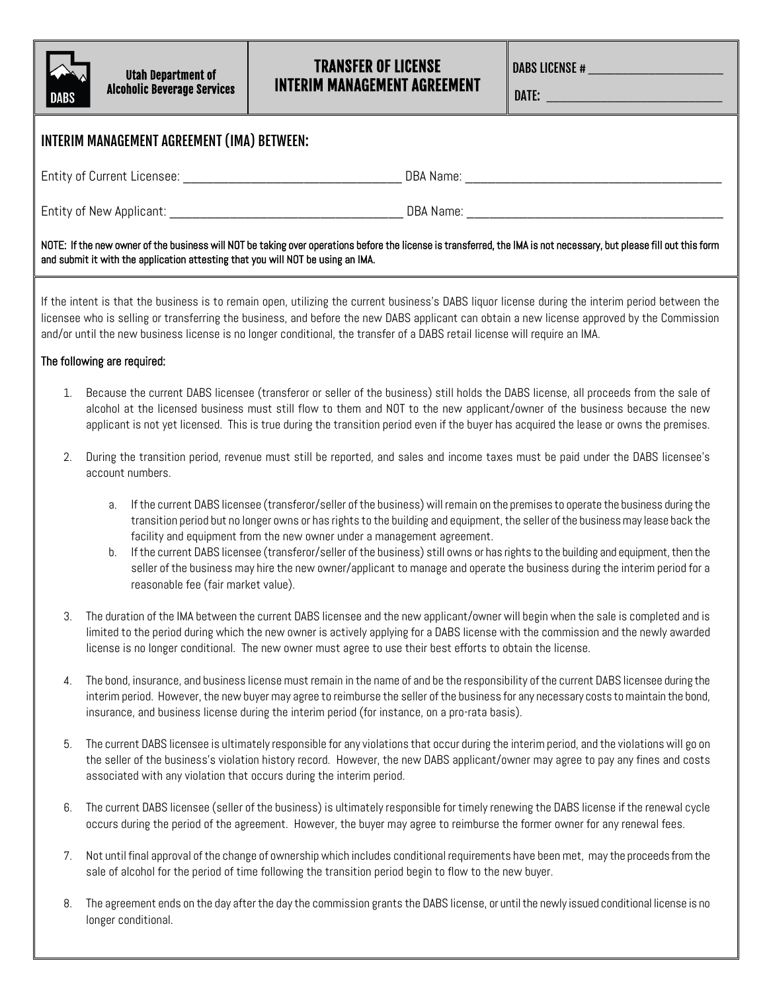

## TRANSFER OF LICENSE INTERIM MANAGEMENT AGREEMENT

DABS LICENSE # \_\_\_\_\_\_\_\_\_\_\_\_\_\_\_\_\_\_\_\_

DATE: \_\_\_\_\_\_\_\_\_\_\_\_\_\_\_\_\_\_\_\_\_\_\_\_\_\_

| INTERIM MANAGEMENT AGREEMENT (IMA) BETWEEN:                                                                                                                                                                                                                                                                                                                                                                                                                                                                                                                                                                                                                                                                                                                                                                                                                                                                                                                                                                                                                                                                                                                                                                                                                                                                                                                                                                                                                                                                                                                                                                                                                                                                                                                                                                                                                                                                                                                                                                                                                                                                                                                                                                                                                                                                                                                                                                                                                                                                                                                                                                                                                                                                                                                                                                                                                                                                                                                                                                                                                                                                                                                   |                     |                                                                                                                                                                                                                                                                       |  |  |
|---------------------------------------------------------------------------------------------------------------------------------------------------------------------------------------------------------------------------------------------------------------------------------------------------------------------------------------------------------------------------------------------------------------------------------------------------------------------------------------------------------------------------------------------------------------------------------------------------------------------------------------------------------------------------------------------------------------------------------------------------------------------------------------------------------------------------------------------------------------------------------------------------------------------------------------------------------------------------------------------------------------------------------------------------------------------------------------------------------------------------------------------------------------------------------------------------------------------------------------------------------------------------------------------------------------------------------------------------------------------------------------------------------------------------------------------------------------------------------------------------------------------------------------------------------------------------------------------------------------------------------------------------------------------------------------------------------------------------------------------------------------------------------------------------------------------------------------------------------------------------------------------------------------------------------------------------------------------------------------------------------------------------------------------------------------------------------------------------------------------------------------------------------------------------------------------------------------------------------------------------------------------------------------------------------------------------------------------------------------------------------------------------------------------------------------------------------------------------------------------------------------------------------------------------------------------------------------------------------------------------------------------------------------------------------------------------------------------------------------------------------------------------------------------------------------------------------------------------------------------------------------------------------------------------------------------------------------------------------------------------------------------------------------------------------------------------------------------------------------------------------------------------------------|---------------------|-----------------------------------------------------------------------------------------------------------------------------------------------------------------------------------------------------------------------------------------------------------------------|--|--|
|                                                                                                                                                                                                                                                                                                                                                                                                                                                                                                                                                                                                                                                                                                                                                                                                                                                                                                                                                                                                                                                                                                                                                                                                                                                                                                                                                                                                                                                                                                                                                                                                                                                                                                                                                                                                                                                                                                                                                                                                                                                                                                                                                                                                                                                                                                                                                                                                                                                                                                                                                                                                                                                                                                                                                                                                                                                                                                                                                                                                                                                                                                                                                               |                     |                                                                                                                                                                                                                                                                       |  |  |
|                                                                                                                                                                                                                                                                                                                                                                                                                                                                                                                                                                                                                                                                                                                                                                                                                                                                                                                                                                                                                                                                                                                                                                                                                                                                                                                                                                                                                                                                                                                                                                                                                                                                                                                                                                                                                                                                                                                                                                                                                                                                                                                                                                                                                                                                                                                                                                                                                                                                                                                                                                                                                                                                                                                                                                                                                                                                                                                                                                                                                                                                                                                                                               |                     |                                                                                                                                                                                                                                                                       |  |  |
| NOTE: If the new owner of the business will NOT be taking over operations before the license is transferred, the IMA is not necessary, but please fill out this form<br>and submit it with the application attesting that you will NOT be using an IMA.<br>If the intent is that the business is to remain open, utilizing the current business's DABS liquor license during the interim period between the<br>licensee who is selling or transferring the business, and before the new DABS applicant can obtain a new license approved by the Commission<br>and/or until the new business license is no longer conditional, the transfer of a DABS retail license will require an IMA.<br>The following are required:<br>Because the current DABS licensee (transferor or seller of the business) still holds the DABS license, all proceeds from the sale of<br>$\mathbf{1}$ .<br>alcohol at the licensed business must still flow to them and NOT to the new applicant/owner of the business because the new<br>applicant is not yet licensed. This is true during the transition period even if the buyer has acquired the lease or owns the premises.<br>During the transition period, revenue must still be reported, and sales and income taxes must be paid under the DABS licensee's<br>2.<br>account numbers.<br>If the current DABS licensee (transferor/seller of the business) will remain on the premises to operate the business during the<br>а.<br>transition period but no longer owns or has rights to the building and equipment, the seller of the business may lease back the<br>facility and equipment from the new owner under a management agreement.<br>If the current DABS licensee (transferor/seller of the business) still owns or has rights to the building and equipment, then the<br>b.<br>seller of the business may hire the new owner/applicant to manage and operate the business during the interim period for a<br>reasonable fee (fair market value).<br>The duration of the IMA between the current DABS licensee and the new applicant/owner will begin when the sale is completed and is<br>3.<br>limited to the period during which the new owner is actively applying for a DABS license with the commission and the newly awarded<br>license is no longer conditional. The new owner must agree to use their best efforts to obtain the license.<br>The bond, insurance, and business license must remain in the name of and be the responsibility of the current DABS licensee during the<br>4.<br>interim period. However, the new buyer may agree to reimburse the seller of the business for any necessary costs to maintain the bond,<br>insurance, and business license during the interim period (for instance, on a pro-rata basis).<br>The current DABS licensee is ultimately responsible for any violations that occur during the interim period, and the violations will go on<br>5.<br>the seller of the business's violation history record. However, the new DABS applicant/owner may agree to pay any fines and costs<br>associated with any violation that occurs during the interim period. |                     |                                                                                                                                                                                                                                                                       |  |  |
|                                                                                                                                                                                                                                                                                                                                                                                                                                                                                                                                                                                                                                                                                                                                                                                                                                                                                                                                                                                                                                                                                                                                                                                                                                                                                                                                                                                                                                                                                                                                                                                                                                                                                                                                                                                                                                                                                                                                                                                                                                                                                                                                                                                                                                                                                                                                                                                                                                                                                                                                                                                                                                                                                                                                                                                                                                                                                                                                                                                                                                                                                                                                                               |                     |                                                                                                                                                                                                                                                                       |  |  |
|                                                                                                                                                                                                                                                                                                                                                                                                                                                                                                                                                                                                                                                                                                                                                                                                                                                                                                                                                                                                                                                                                                                                                                                                                                                                                                                                                                                                                                                                                                                                                                                                                                                                                                                                                                                                                                                                                                                                                                                                                                                                                                                                                                                                                                                                                                                                                                                                                                                                                                                                                                                                                                                                                                                                                                                                                                                                                                                                                                                                                                                                                                                                                               |                     |                                                                                                                                                                                                                                                                       |  |  |
|                                                                                                                                                                                                                                                                                                                                                                                                                                                                                                                                                                                                                                                                                                                                                                                                                                                                                                                                                                                                                                                                                                                                                                                                                                                                                                                                                                                                                                                                                                                                                                                                                                                                                                                                                                                                                                                                                                                                                                                                                                                                                                                                                                                                                                                                                                                                                                                                                                                                                                                                                                                                                                                                                                                                                                                                                                                                                                                                                                                                                                                                                                                                                               |                     |                                                                                                                                                                                                                                                                       |  |  |
|                                                                                                                                                                                                                                                                                                                                                                                                                                                                                                                                                                                                                                                                                                                                                                                                                                                                                                                                                                                                                                                                                                                                                                                                                                                                                                                                                                                                                                                                                                                                                                                                                                                                                                                                                                                                                                                                                                                                                                                                                                                                                                                                                                                                                                                                                                                                                                                                                                                                                                                                                                                                                                                                                                                                                                                                                                                                                                                                                                                                                                                                                                                                                               |                     |                                                                                                                                                                                                                                                                       |  |  |
|                                                                                                                                                                                                                                                                                                                                                                                                                                                                                                                                                                                                                                                                                                                                                                                                                                                                                                                                                                                                                                                                                                                                                                                                                                                                                                                                                                                                                                                                                                                                                                                                                                                                                                                                                                                                                                                                                                                                                                                                                                                                                                                                                                                                                                                                                                                                                                                                                                                                                                                                                                                                                                                                                                                                                                                                                                                                                                                                                                                                                                                                                                                                                               |                     |                                                                                                                                                                                                                                                                       |  |  |
|                                                                                                                                                                                                                                                                                                                                                                                                                                                                                                                                                                                                                                                                                                                                                                                                                                                                                                                                                                                                                                                                                                                                                                                                                                                                                                                                                                                                                                                                                                                                                                                                                                                                                                                                                                                                                                                                                                                                                                                                                                                                                                                                                                                                                                                                                                                                                                                                                                                                                                                                                                                                                                                                                                                                                                                                                                                                                                                                                                                                                                                                                                                                                               |                     |                                                                                                                                                                                                                                                                       |  |  |
|                                                                                                                                                                                                                                                                                                                                                                                                                                                                                                                                                                                                                                                                                                                                                                                                                                                                                                                                                                                                                                                                                                                                                                                                                                                                                                                                                                                                                                                                                                                                                                                                                                                                                                                                                                                                                                                                                                                                                                                                                                                                                                                                                                                                                                                                                                                                                                                                                                                                                                                                                                                                                                                                                                                                                                                                                                                                                                                                                                                                                                                                                                                                                               |                     |                                                                                                                                                                                                                                                                       |  |  |
|                                                                                                                                                                                                                                                                                                                                                                                                                                                                                                                                                                                                                                                                                                                                                                                                                                                                                                                                                                                                                                                                                                                                                                                                                                                                                                                                                                                                                                                                                                                                                                                                                                                                                                                                                                                                                                                                                                                                                                                                                                                                                                                                                                                                                                                                                                                                                                                                                                                                                                                                                                                                                                                                                                                                                                                                                                                                                                                                                                                                                                                                                                                                                               |                     |                                                                                                                                                                                                                                                                       |  |  |
| 6.                                                                                                                                                                                                                                                                                                                                                                                                                                                                                                                                                                                                                                                                                                                                                                                                                                                                                                                                                                                                                                                                                                                                                                                                                                                                                                                                                                                                                                                                                                                                                                                                                                                                                                                                                                                                                                                                                                                                                                                                                                                                                                                                                                                                                                                                                                                                                                                                                                                                                                                                                                                                                                                                                                                                                                                                                                                                                                                                                                                                                                                                                                                                                            |                     | The current DABS licensee (seller of the business) is ultimately responsible for timely renewing the DABS license if the renewal cycle<br>occurs during the period of the agreement. However, the buyer may agree to reimburse the former owner for any renewal fees. |  |  |
| 7.                                                                                                                                                                                                                                                                                                                                                                                                                                                                                                                                                                                                                                                                                                                                                                                                                                                                                                                                                                                                                                                                                                                                                                                                                                                                                                                                                                                                                                                                                                                                                                                                                                                                                                                                                                                                                                                                                                                                                                                                                                                                                                                                                                                                                                                                                                                                                                                                                                                                                                                                                                                                                                                                                                                                                                                                                                                                                                                                                                                                                                                                                                                                                            |                     | Not until final approval of the change of ownership which includes conditional requirements have been met, may the proceeds from the<br>sale of alcohol for the period of time following the transition period begin to flow to the new buyer.                        |  |  |
| 8.                                                                                                                                                                                                                                                                                                                                                                                                                                                                                                                                                                                                                                                                                                                                                                                                                                                                                                                                                                                                                                                                                                                                                                                                                                                                                                                                                                                                                                                                                                                                                                                                                                                                                                                                                                                                                                                                                                                                                                                                                                                                                                                                                                                                                                                                                                                                                                                                                                                                                                                                                                                                                                                                                                                                                                                                                                                                                                                                                                                                                                                                                                                                                            | longer conditional. | The agreement ends on the day after the day the commission grants the DABS license, or until the newly issued conditional license is no                                                                                                                               |  |  |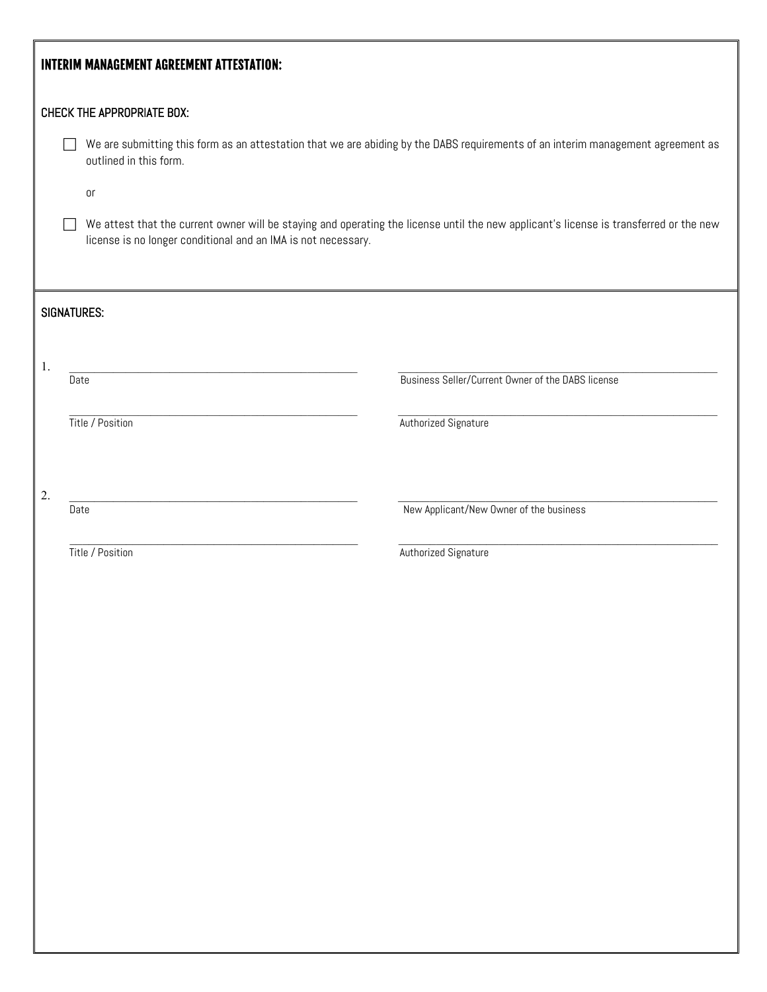| <b>INTERIM MANAGEMENT AGREEMENT ATTESTATION:</b>                                                                                                                                                        |                                                                                                                                                            |                                                   |  |  |
|---------------------------------------------------------------------------------------------------------------------------------------------------------------------------------------------------------|------------------------------------------------------------------------------------------------------------------------------------------------------------|---------------------------------------------------|--|--|
| <b>CHECK THE APPROPRIATE BOX:</b>                                                                                                                                                                       |                                                                                                                                                            |                                                   |  |  |
|                                                                                                                                                                                                         | We are submitting this form as an attestation that we are abiding by the DABS requirements of an interim management agreement as<br>outlined in this form. |                                                   |  |  |
|                                                                                                                                                                                                         | $0\mathsf{r}$                                                                                                                                              |                                                   |  |  |
| We attest that the current owner will be staying and operating the license until the new applicant's license is transferred or the new<br>license is no longer conditional and an IMA is not necessary. |                                                                                                                                                            |                                                   |  |  |
| <b>SIGNATURES:</b>                                                                                                                                                                                      |                                                                                                                                                            |                                                   |  |  |
| 1.                                                                                                                                                                                                      | Date                                                                                                                                                       | Business Seller/Current Owner of the DABS license |  |  |
|                                                                                                                                                                                                         | Title / Position                                                                                                                                           | Authorized Signature                              |  |  |
| 2.                                                                                                                                                                                                      |                                                                                                                                                            |                                                   |  |  |
|                                                                                                                                                                                                         | Date                                                                                                                                                       | New Applicant/New Owner of the business           |  |  |
|                                                                                                                                                                                                         | Title / Position                                                                                                                                           | Authorized Signature                              |  |  |
|                                                                                                                                                                                                         |                                                                                                                                                            |                                                   |  |  |
|                                                                                                                                                                                                         |                                                                                                                                                            |                                                   |  |  |
|                                                                                                                                                                                                         |                                                                                                                                                            |                                                   |  |  |
|                                                                                                                                                                                                         |                                                                                                                                                            |                                                   |  |  |
|                                                                                                                                                                                                         |                                                                                                                                                            |                                                   |  |  |
|                                                                                                                                                                                                         |                                                                                                                                                            |                                                   |  |  |
|                                                                                                                                                                                                         |                                                                                                                                                            |                                                   |  |  |